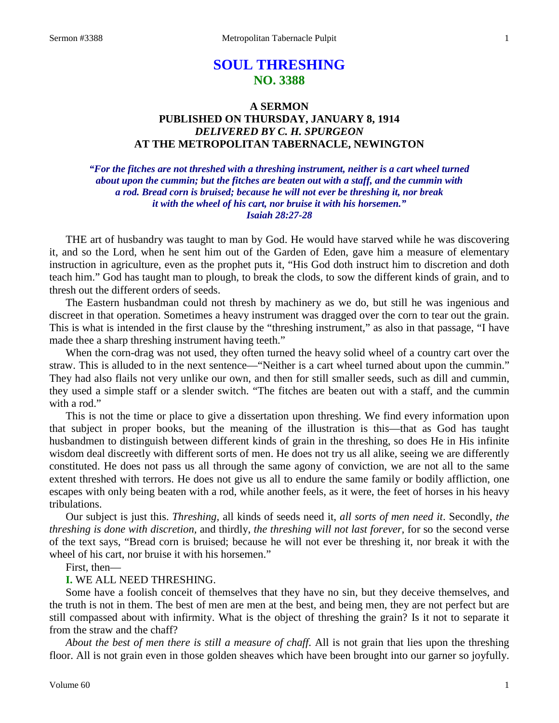# **SOUL THRESHING NO. 3388**

# **A SERMON PUBLISHED ON THURSDAY, JANUARY 8, 1914** *DELIVERED BY C. H. SPURGEON* **AT THE METROPOLITAN TABERNACLE, NEWINGTON**

*"For the fitches are not threshed with a threshing instrument, neither is a cart wheel turned about upon the cummin; but the fitches are beaten out with a staff, and the cummin with a rod. Bread corn is bruised; because he will not ever be threshing it, nor break it with the wheel of his cart, nor bruise it with his horsemen." Isaiah 28:27-28*

THE art of husbandry was taught to man by God. He would have starved while he was discovering it, and so the Lord, when he sent him out of the Garden of Eden, gave him a measure of elementary instruction in agriculture, even as the prophet puts it, "His God doth instruct him to discretion and doth teach him." God has taught man to plough, to break the clods, to sow the different kinds of grain, and to thresh out the different orders of seeds.

The Eastern husbandman could not thresh by machinery as we do, but still he was ingenious and discreet in that operation. Sometimes a heavy instrument was dragged over the corn to tear out the grain. This is what is intended in the first clause by the "threshing instrument," as also in that passage, "I have made thee a sharp threshing instrument having teeth."

When the corn-drag was not used, they often turned the heavy solid wheel of a country cart over the straw. This is alluded to in the next sentence—"Neither is a cart wheel turned about upon the cummin." They had also flails not very unlike our own, and then for still smaller seeds, such as dill and cummin, they used a simple staff or a slender switch. "The fitches are beaten out with a staff, and the cummin with a rod."

This is not the time or place to give a dissertation upon threshing. We find every information upon that subject in proper books, but the meaning of the illustration is this—that as God has taught husbandmen to distinguish between different kinds of grain in the threshing, so does He in His infinite wisdom deal discreetly with different sorts of men. He does not try us all alike, seeing we are differently constituted. He does not pass us all through the same agony of conviction, we are not all to the same extent threshed with terrors. He does not give us all to endure the same family or bodily affliction, one escapes with only being beaten with a rod, while another feels, as it were, the feet of horses in his heavy tribulations.

Our subject is just this. *Threshing,* all kinds of seeds need it, *all sorts of men need it*. Secondly, *the threshing is done with discretion,* and thirdly, *the threshing will not last forever,* for so the second verse of the text says, "Bread corn is bruised; because he will not ever be threshing it, nor break it with the wheel of his cart, nor bruise it with his horsemen."

First, then—

#### **I.** WE ALL NEED THRESHING.

Some have a foolish conceit of themselves that they have no sin, but they deceive themselves, and the truth is not in them. The best of men are men at the best, and being men, they are not perfect but are still compassed about with infirmity. What is the object of threshing the grain? Is it not to separate it from the straw and the chaff?

*About the best of men there is still a measure of chaff*. All is not grain that lies upon the threshing floor. All is not grain even in those golden sheaves which have been brought into our garner so joyfully.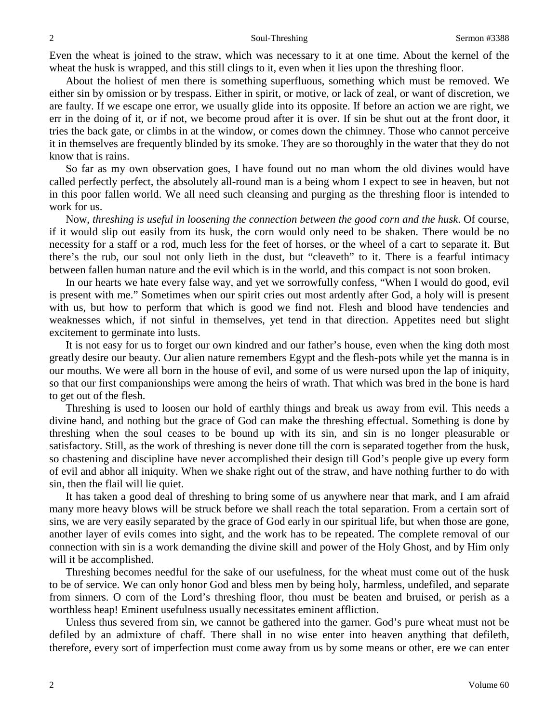Even the wheat is joined to the straw, which was necessary to it at one time. About the kernel of the wheat the husk is wrapped, and this still clings to it, even when it lies upon the threshing floor.

About the holiest of men there is something superfluous, something which must be removed. We either sin by omission or by trespass. Either in spirit, or motive, or lack of zeal, or want of discretion, we are faulty. If we escape one error, we usually glide into its opposite. If before an action we are right, we err in the doing of it, or if not, we become proud after it is over. If sin be shut out at the front door, it tries the back gate, or climbs in at the window, or comes down the chimney. Those who cannot perceive it in themselves are frequently blinded by its smoke. They are so thoroughly in the water that they do not know that is rains.

So far as my own observation goes, I have found out no man whom the old divines would have called perfectly perfect, the absolutely all-round man is a being whom I expect to see in heaven, but not in this poor fallen world. We all need such cleansing and purging as the threshing floor is intended to work for us.

Now, *threshing is useful in loosening the connection between the good corn and the husk*. Of course, if it would slip out easily from its husk, the corn would only need to be shaken. There would be no necessity for a staff or a rod, much less for the feet of horses, or the wheel of a cart to separate it. But there's the rub, our soul not only lieth in the dust, but "cleaveth" to it. There is a fearful intimacy between fallen human nature and the evil which is in the world, and this compact is not soon broken.

In our hearts we hate every false way, and yet we sorrowfully confess, "When I would do good, evil is present with me." Sometimes when our spirit cries out most ardently after God, a holy will is present with us, but how to perform that which is good we find not. Flesh and blood have tendencies and weaknesses which, if not sinful in themselves, yet tend in that direction. Appetites need but slight excitement to germinate into lusts.

It is not easy for us to forget our own kindred and our father's house, even when the king doth most greatly desire our beauty. Our alien nature remembers Egypt and the flesh-pots while yet the manna is in our mouths. We were all born in the house of evil, and some of us were nursed upon the lap of iniquity, so that our first companionships were among the heirs of wrath. That which was bred in the bone is hard to get out of the flesh.

Threshing is used to loosen our hold of earthly things and break us away from evil. This needs a divine hand, and nothing but the grace of God can make the threshing effectual. Something is done by threshing when the soul ceases to be bound up with its sin, and sin is no longer pleasurable or satisfactory. Still, as the work of threshing is never done till the corn is separated together from the husk, so chastening and discipline have never accomplished their design till God's people give up every form of evil and abhor all iniquity. When we shake right out of the straw, and have nothing further to do with sin, then the flail will lie quiet.

It has taken a good deal of threshing to bring some of us anywhere near that mark, and I am afraid many more heavy blows will be struck before we shall reach the total separation. From a certain sort of sins, we are very easily separated by the grace of God early in our spiritual life, but when those are gone, another layer of evils comes into sight, and the work has to be repeated. The complete removal of our connection with sin is a work demanding the divine skill and power of the Holy Ghost, and by Him only will it be accomplished.

Threshing becomes needful for the sake of our usefulness, for the wheat must come out of the husk to be of service. We can only honor God and bless men by being holy, harmless, undefiled, and separate from sinners. O corn of the Lord's threshing floor, thou must be beaten and bruised, or perish as a worthless heap! Eminent usefulness usually necessitates eminent affliction.

Unless thus severed from sin, we cannot be gathered into the garner. God's pure wheat must not be defiled by an admixture of chaff. There shall in no wise enter into heaven anything that defileth, therefore, every sort of imperfection must come away from us by some means or other, ere we can enter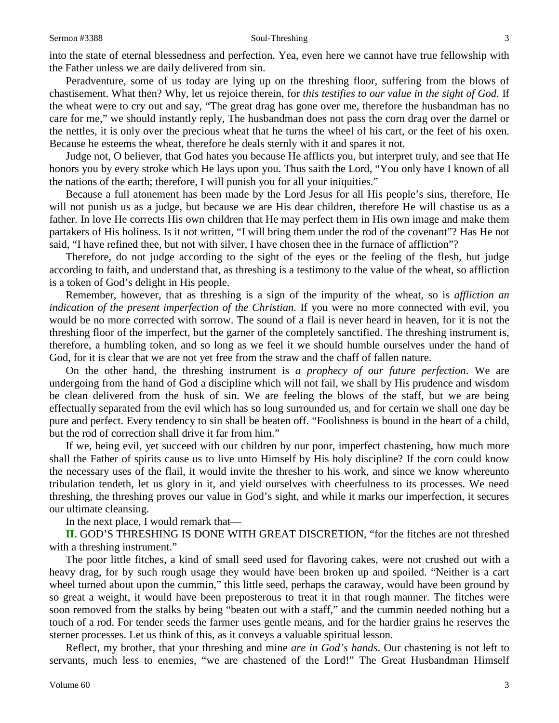#### Sermon #3388 Soul-Threshing 3

into the state of eternal blessedness and perfection. Yea, even here we cannot have true fellowship with the Father unless we are daily delivered from sin.

Peradventure, some of us today are lying up on the threshing floor, suffering from the blows of chastisement. What then? Why, let us rejoice therein, for *this testifies to our value in the sight of God*. If the wheat were to cry out and say, "The great drag has gone over me, therefore the husbandman has no care for me," we should instantly reply, The husbandman does not pass the corn drag over the darnel or the nettles, it is only over the precious wheat that he turns the wheel of his cart, or the feet of his oxen. Because he esteems the wheat, therefore he deals sternly with it and spares it not.

Judge not, O believer, that God hates you because He afflicts you, but interpret truly, and see that He honors you by every stroke which He lays upon you. Thus saith the Lord, "You only have I known of all the nations of the earth; therefore, I will punish you for all your iniquities."

Because a full atonement has been made by the Lord Jesus for all His people's sins, therefore, He will not punish us as a judge, but because we are His dear children, therefore He will chastise us as a father. In love He corrects His own children that He may perfect them in His own image and make them partakers of His holiness. Is it not written, "I will bring them under the rod of the covenant"? Has He not said, "I have refined thee, but not with silver, I have chosen thee in the furnace of affliction"?

Therefore, do not judge according to the sight of the eyes or the feeling of the flesh, but judge according to faith, and understand that, as threshing is a testimony to the value of the wheat, so affliction is a token of God's delight in His people.

Remember, however, that as threshing is a sign of the impurity of the wheat, so is *affliction an indication of the present imperfection of the Christian.* If you were no more connected with evil, you would be no more corrected with sorrow. The sound of a flail is never heard in heaven, for it is not the threshing floor of the imperfect, but the garner of the completely sanctified. The threshing instrument is, therefore, a humbling token, and so long as we feel it we should humble ourselves under the hand of God, for it is clear that we are not yet free from the straw and the chaff of fallen nature.

On the other hand, the threshing instrument is *a prophecy of our future perfection*. We are undergoing from the hand of God a discipline which will not fail, we shall by His prudence and wisdom be clean delivered from the husk of sin. We are feeling the blows of the staff, but we are being effectually separated from the evil which has so long surrounded us, and for certain we shall one day be pure and perfect. Every tendency to sin shall be beaten off. "Foolishness is bound in the heart of a child, but the rod of correction shall drive it far from him."

If we, being evil, yet succeed with our children by our poor, imperfect chastening, how much more shall the Father of spirits cause us to live unto Himself by His holy discipline? If the corn could know the necessary uses of the flail, it would invite the thresher to his work, and since we know whereunto tribulation tendeth, let us glory in it, and yield ourselves with cheerfulness to its processes. We need threshing, the threshing proves our value in God's sight, and while it marks our imperfection, it secures our ultimate cleansing.

In the next place, I would remark that—

**II.** GOD'S THRESHING IS DONE WITH GREAT DISCRETION, "for the fitches are not threshed with a threshing instrument."

The poor little fitches, a kind of small seed used for flavoring cakes, were not crushed out with a heavy drag, for by such rough usage they would have been broken up and spoiled. "Neither is a cart wheel turned about upon the cummin," this little seed, perhaps the caraway, would have been ground by so great a weight, it would have been preposterous to treat it in that rough manner. The fitches were soon removed from the stalks by being "beaten out with a staff," and the cummin needed nothing but a touch of a rod. For tender seeds the farmer uses gentle means, and for the hardier grains he reserves the sterner processes. Let us think of this, as it conveys a valuable spiritual lesson.

Reflect, my brother, that your threshing and mine *are in God's hands*. Our chastening is not left to servants, much less to enemies, "we are chastened of the Lord!" The Great Husbandman Himself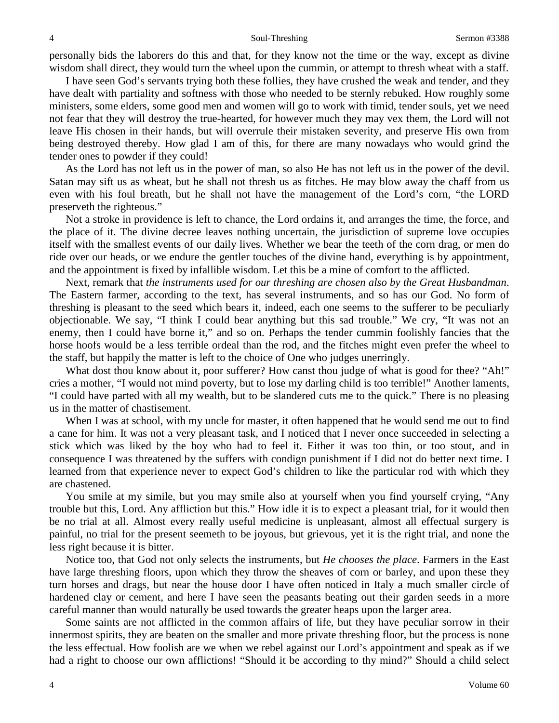personally bids the laborers do this and that, for they know not the time or the way, except as divine wisdom shall direct, they would turn the wheel upon the cummin, or attempt to thresh wheat with a staff.

I have seen God's servants trying both these follies, they have crushed the weak and tender, and they have dealt with partiality and softness with those who needed to be sternly rebuked. How roughly some ministers, some elders, some good men and women will go to work with timid, tender souls, yet we need not fear that they will destroy the true-hearted, for however much they may vex them, the Lord will not leave His chosen in their hands, but will overrule their mistaken severity, and preserve His own from being destroyed thereby. How glad I am of this, for there are many nowadays who would grind the tender ones to powder if they could!

As the Lord has not left us in the power of man, so also He has not left us in the power of the devil. Satan may sift us as wheat, but he shall not thresh us as fitches. He may blow away the chaff from us even with his foul breath, but he shall not have the management of the Lord's corn, "the LORD preserveth the righteous."

Not a stroke in providence is left to chance, the Lord ordains it, and arranges the time, the force, and the place of it. The divine decree leaves nothing uncertain, the jurisdiction of supreme love occupies itself with the smallest events of our daily lives. Whether we bear the teeth of the corn drag, or men do ride over our heads, or we endure the gentler touches of the divine hand, everything is by appointment, and the appointment is fixed by infallible wisdom. Let this be a mine of comfort to the afflicted.

Next, remark that *the instruments used for our threshing are chosen also by the Great Husbandman*. The Eastern farmer, according to the text, has several instruments, and so has our God. No form of threshing is pleasant to the seed which bears it, indeed, each one seems to the sufferer to be peculiarly objectionable. We say, "I think I could bear anything but this sad trouble." We cry, "It was not an enemy, then I could have borne it," and so on. Perhaps the tender cummin foolishly fancies that the horse hoofs would be a less terrible ordeal than the rod, and the fitches might even prefer the wheel to the staff, but happily the matter is left to the choice of One who judges unerringly.

What dost thou know about it, poor sufferer? How canst thou judge of what is good for thee? "Ah!" cries a mother, "I would not mind poverty, but to lose my darling child is too terrible!" Another laments, "I could have parted with all my wealth, but to be slandered cuts me to the quick." There is no pleasing us in the matter of chastisement.

When I was at school, with my uncle for master, it often happened that he would send me out to find a cane for him. It was not a very pleasant task, and I noticed that I never once succeeded in selecting a stick which was liked by the boy who had to feel it. Either it was too thin, or too stout, and in consequence I was threatened by the suffers with condign punishment if I did not do better next time. I learned from that experience never to expect God's children to like the particular rod with which they are chastened.

You smile at my simile, but you may smile also at yourself when you find yourself crying, "Any trouble but this, Lord. Any affliction but this." How idle it is to expect a pleasant trial, for it would then be no trial at all. Almost every really useful medicine is unpleasant, almost all effectual surgery is painful, no trial for the present seemeth to be joyous, but grievous, yet it is the right trial, and none the less right because it is bitter.

Notice too, that God not only selects the instruments, but *He chooses the place*. Farmers in the East have large threshing floors, upon which they throw the sheaves of corn or barley, and upon these they turn horses and drags, but near the house door I have often noticed in Italy a much smaller circle of hardened clay or cement, and here I have seen the peasants beating out their garden seeds in a more careful manner than would naturally be used towards the greater heaps upon the larger area.

Some saints are not afflicted in the common affairs of life, but they have peculiar sorrow in their innermost spirits, they are beaten on the smaller and more private threshing floor, but the process is none the less effectual. How foolish are we when we rebel against our Lord's appointment and speak as if we had a right to choose our own afflictions! "Should it be according to thy mind?" Should a child select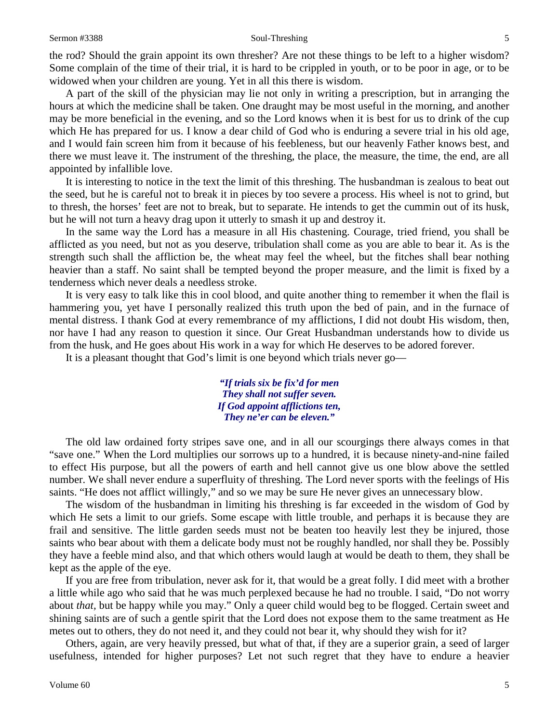#### Sermon #3388 Soul-Threshing 5

the rod? Should the grain appoint its own thresher? Are not these things to be left to a higher wisdom? Some complain of the time of their trial, it is hard to be crippled in youth, or to be poor in age, or to be widowed when your children are young. Yet in all this there is wisdom.

A part of the skill of the physician may lie not only in writing a prescription, but in arranging the hours at which the medicine shall be taken. One draught may be most useful in the morning, and another may be more beneficial in the evening, and so the Lord knows when it is best for us to drink of the cup which He has prepared for us. I know a dear child of God who is enduring a severe trial in his old age, and I would fain screen him from it because of his feebleness, but our heavenly Father knows best, and there we must leave it. The instrument of the threshing, the place, the measure, the time, the end, are all appointed by infallible love.

It is interesting to notice in the text the limit of this threshing. The husbandman is zealous to beat out the seed, but he is careful not to break it in pieces by too severe a process. His wheel is not to grind, but to thresh, the horses' feet are not to break, but to separate. He intends to get the cummin out of its husk, but he will not turn a heavy drag upon it utterly to smash it up and destroy it.

In the same way the Lord has a measure in all His chastening. Courage, tried friend, you shall be afflicted as you need, but not as you deserve, tribulation shall come as you are able to bear it. As is the strength such shall the affliction be, the wheat may feel the wheel, but the fitches shall bear nothing heavier than a staff. No saint shall be tempted beyond the proper measure, and the limit is fixed by a tenderness which never deals a needless stroke.

It is very easy to talk like this in cool blood, and quite another thing to remember it when the flail is hammering you, yet have I personally realized this truth upon the bed of pain, and in the furnace of mental distress. I thank God at every remembrance of my afflictions, I did not doubt His wisdom, then, nor have I had any reason to question it since. Our Great Husbandman understands how to divide us from the husk, and He goes about His work in a way for which He deserves to be adored forever.

It is a pleasant thought that God's limit is one beyond which trials never go—

*"If trials six be fix'd for men They shall not suffer seven. If God appoint afflictions ten, They ne'er can be eleven."*

The old law ordained forty stripes save one, and in all our scourgings there always comes in that "save one." When the Lord multiplies our sorrows up to a hundred, it is because ninety-and-nine failed to effect His purpose, but all the powers of earth and hell cannot give us one blow above the settled number. We shall never endure a superfluity of threshing. The Lord never sports with the feelings of His saints. "He does not afflict willingly," and so we may be sure He never gives an unnecessary blow.

The wisdom of the husbandman in limiting his threshing is far exceeded in the wisdom of God by which He sets a limit to our griefs. Some escape with little trouble, and perhaps it is because they are frail and sensitive. The little garden seeds must not be beaten too heavily lest they be injured, those saints who bear about with them a delicate body must not be roughly handled, nor shall they be. Possibly they have a feeble mind also, and that which others would laugh at would be death to them, they shall be kept as the apple of the eye.

If you are free from tribulation, never ask for it, that would be a great folly. I did meet with a brother a little while ago who said that he was much perplexed because he had no trouble. I said, "Do not worry about *that,* but be happy while you may." Only a queer child would beg to be flogged. Certain sweet and shining saints are of such a gentle spirit that the Lord does not expose them to the same treatment as He metes out to others, they do not need it, and they could not bear it, why should they wish for it?

Others, again, are very heavily pressed, but what of that, if they are a superior grain, a seed of larger usefulness, intended for higher purposes? Let not such regret that they have to endure a heavier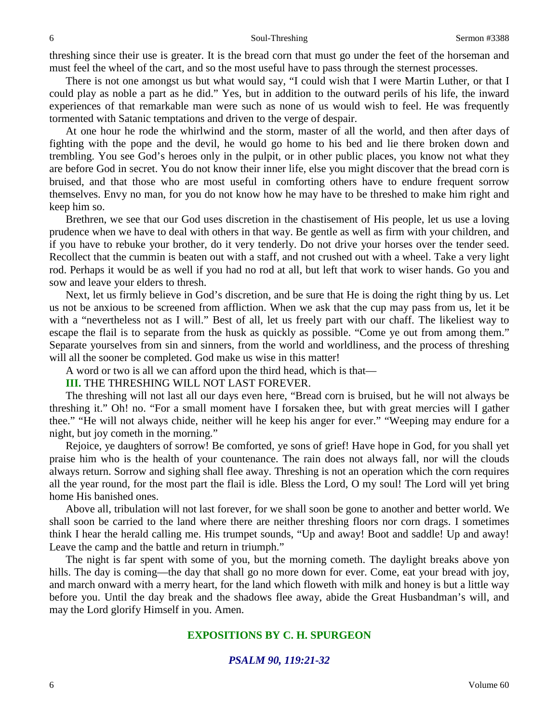threshing since their use is greater. It is the bread corn that must go under the feet of the horseman and must feel the wheel of the cart, and so the most useful have to pass through the sternest processes.

There is not one amongst us but what would say, "I could wish that I were Martin Luther, or that I could play as noble a part as he did." Yes, but in addition to the outward perils of his life, the inward experiences of that remarkable man were such as none of us would wish to feel. He was frequently tormented with Satanic temptations and driven to the verge of despair.

At one hour he rode the whirlwind and the storm, master of all the world, and then after days of fighting with the pope and the devil, he would go home to his bed and lie there broken down and trembling. You see God's heroes only in the pulpit, or in other public places, you know not what they are before God in secret. You do not know their inner life, else you might discover that the bread corn is bruised, and that those who are most useful in comforting others have to endure frequent sorrow themselves. Envy no man, for you do not know how he may have to be threshed to make him right and keep him so.

Brethren, we see that our God uses discretion in the chastisement of His people, let us use a loving prudence when we have to deal with others in that way. Be gentle as well as firm with your children, and if you have to rebuke your brother, do it very tenderly. Do not drive your horses over the tender seed. Recollect that the cummin is beaten out with a staff, and not crushed out with a wheel. Take a very light rod. Perhaps it would be as well if you had no rod at all, but left that work to wiser hands. Go you and sow and leave your elders to thresh.

Next, let us firmly believe in God's discretion, and be sure that He is doing the right thing by us. Let us not be anxious to be screened from affliction. When we ask that the cup may pass from us, let it be with a "nevertheless not as I will." Best of all, let us freely part with our chaff. The likeliest way to escape the flail is to separate from the husk as quickly as possible. "Come ye out from among them." Separate yourselves from sin and sinners, from the world and worldliness, and the process of threshing

will all the sooner be completed. God make us wise in this matter!

A word or two is all we can afford upon the third head, which is that—

#### **III.** THE THRESHING WILL NOT LAST FOREVER.

The threshing will not last all our days even here, "Bread corn is bruised, but he will not always be threshing it." Oh! no. "For a small moment have I forsaken thee, but with great mercies will I gather thee." "He will not always chide, neither will he keep his anger for ever." "Weeping may endure for a night, but joy cometh in the morning."

Rejoice, ye daughters of sorrow! Be comforted, ye sons of grief! Have hope in God, for you shall yet praise him who is the health of your countenance. The rain does not always fall, nor will the clouds always return. Sorrow and sighing shall flee away. Threshing is not an operation which the corn requires all the year round, for the most part the flail is idle. Bless the Lord, O my soul! The Lord will yet bring home His banished ones.

Above all, tribulation will not last forever, for we shall soon be gone to another and better world. We shall soon be carried to the land where there are neither threshing floors nor corn drags. I sometimes think I hear the herald calling me. His trumpet sounds, "Up and away! Boot and saddle! Up and away! Leave the camp and the battle and return in triumph."

The night is far spent with some of you, but the morning cometh. The daylight breaks above yon hills. The day is coming—the day that shall go no more down for ever. Come, eat your bread with joy, and march onward with a merry heart, for the land which floweth with milk and honey is but a little way before you. Until the day break and the shadows flee away, abide the Great Husbandman's will, and may the Lord glorify Himself in you. Amen.

# **EXPOSITIONS BY C. H. SPURGEON**

#### *PSALM 90, 119:21-32*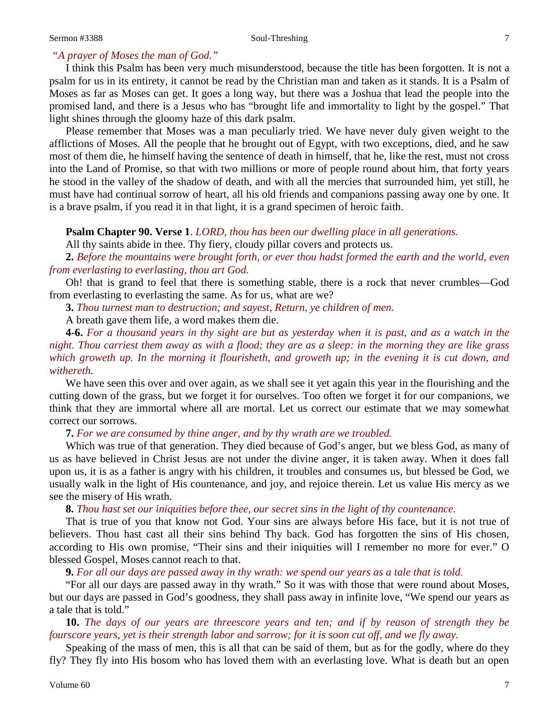# *"A prayer of Moses the man of God."*

I think this Psalm has been very much misunderstood, because the title has been forgotten. It is not a psalm for us in its entirety, it cannot be read by the Christian man and taken as it stands. It is a Psalm of Moses as far as Moses can get. It goes a long way, but there was a Joshua that lead the people into the promised land, and there is a Jesus who has "brought life and immortality to light by the gospel." That light shines through the gloomy haze of this dark psalm.

Please remember that Moses was a man peculiarly tried. We have never duly given weight to the afflictions of Moses. All the people that he brought out of Egypt, with two exceptions, died, and he saw most of them die, he himself having the sentence of death in himself, that he, like the rest, must not cross into the Land of Promise, so that with two millions or more of people round about him, that forty years he stood in the valley of the shadow of death, and with all the mercies that surrounded him, yet still, he must have had continual sorrow of heart, all his old friends and companions passing away one by one. It is a brave psalm, if you read it in that light, it is a grand specimen of heroic faith.

### **Psalm Chapter 90. Verse 1**. *LORD, thou has been our dwelling place in all generations.*

All thy saints abide in thee. Thy fiery, cloudy pillar covers and protects us.

**2.** *Before the mountains were brought forth, or ever thou hadst formed the earth and the world, even from everlasting to everlasting, thou art God.*

Oh! that is grand to feel that there is something stable, there is a rock that never crumbles—God from everlasting to everlasting the same. As for us, what are we?

**3.** *Thou turnest man to destruction; and sayest, Return, ye children of men.*

A breath gave them life, a word makes them die.

**4-6.** *For a thousand years in thy sight are but as yesterday when it is past, and as a watch in the night. Thou carriest them away as with a flood; they are as a sleep: in the morning they are like grass which groweth up. In the morning it flourisheth, and groweth up; in the evening it is cut down, and withereth.*

We have seen this over and over again, as we shall see it yet again this year in the flourishing and the cutting down of the grass, but we forget it for ourselves. Too often we forget it for our companions, we think that they are immortal where all are mortal. Let us correct our estimate that we may somewhat correct our sorrows.

**7.** *For we are consumed by thine anger, and by thy wrath are we troubled.*

Which was true of that generation. They died because of God's anger, but we bless God, as many of us as have believed in Christ Jesus are not under the divine anger, it is taken away. When it does fall upon us, it is as a father is angry with his children, it troubles and consumes us, but blessed be God, we usually walk in the light of His countenance, and joy, and rejoice therein. Let us value His mercy as we see the misery of His wrath.

**8.** *Thou hast set our iniquities before thee, our secret sins in the light of thy countenance.*

That is true of you that know not God. Your sins are always before His face, but it is not true of believers. Thou hast cast all their sins behind Thy back. God has forgotten the sins of His chosen, according to His own promise, "Their sins and their iniquities will I remember no more for ever." O blessed Gospel, Moses cannot reach to that.

**9.** *For all our days are passed away in thy wrath: we spend our years as a tale that is told.*

"For all our days are passed away in thy wrath." So it was with those that were round about Moses, but our days are passed in God's goodness, they shall pass away in infinite love, "We spend our years as a tale that is told."

**10.** *The days of our years are threescore years and ten; and if by reason of strength they be fourscore years, yet is their strength labor and sorrow; for it is soon cut off, and we fly away.*

Speaking of the mass of men, this is all that can be said of them, but as for the godly, where do they fly? They fly into His bosom who has loved them with an everlasting love. What is death but an open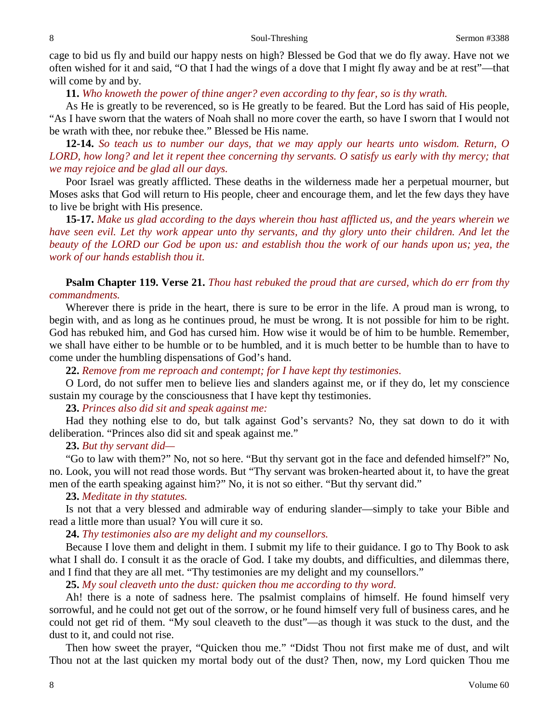cage to bid us fly and build our happy nests on high? Blessed be God that we do fly away. Have not we often wished for it and said, "O that I had the wings of a dove that I might fly away and be at rest"—that will come by and by.

**11.** *Who knoweth the power of thine anger? even according to thy fear, so is thy wrath.*

As He is greatly to be reverenced, so is He greatly to be feared. But the Lord has said of His people, "As I have sworn that the waters of Noah shall no more cover the earth, so have I sworn that I would not be wrath with thee, nor rebuke thee." Blessed be His name.

**12-14.** *So teach us to number our days, that we may apply our hearts unto wisdom. Return, O LORD, how long? and let it repent thee concerning thy servants. O satisfy us early with thy mercy; that we may rejoice and be glad all our days.*

Poor Israel was greatly afflicted. These deaths in the wilderness made her a perpetual mourner, but Moses asks that God will return to His people, cheer and encourage them, and let the few days they have to live be bright with His presence.

**15-17.** *Make us glad according to the days wherein thou hast afflicted us, and the years wherein we have seen evil. Let thy work appear unto thy servants, and thy glory unto their children. And let the beauty of the LORD our God be upon us: and establish thou the work of our hands upon us; yea, the work of our hands establish thou it.*

**Psalm Chapter 119. Verse 21.** *Thou hast rebuked the proud that are cursed, which do err from thy commandments.*

Wherever there is pride in the heart, there is sure to be error in the life. A proud man is wrong, to begin with, and as long as he continues proud, he must be wrong. It is not possible for him to be right. God has rebuked him, and God has cursed him. How wise it would be of him to be humble. Remember, we shall have either to be humble or to be humbled, and it is much better to be humble than to have to come under the humbling dispensations of God's hand.

**22.** *Remove from me reproach and contempt; for I have kept thy testimonies.*

O Lord, do not suffer men to believe lies and slanders against me, or if they do, let my conscience sustain my courage by the consciousness that I have kept thy testimonies.

# **23.** *Princes also did sit and speak against me:*

Had they nothing else to do, but talk against God's servants? No, they sat down to do it with deliberation. "Princes also did sit and speak against me."

### **23.** *But thy servant did—*

"Go to law with them?" No, not so here. "But thy servant got in the face and defended himself?" No, no. Look, you will not read those words. But "Thy servant was broken-hearted about it, to have the great men of the earth speaking against him?" No, it is not so either. "But thy servant did."

### **23.** *Meditate in thy statutes.*

Is not that a very blessed and admirable way of enduring slander—simply to take your Bible and read a little more than usual? You will cure it so.

**24.** *Thy testimonies also are my delight and my counsellors.*

Because I love them and delight in them. I submit my life to their guidance. I go to Thy Book to ask what I shall do. I consult it as the oracle of God. I take my doubts, and difficulties, and dilemmas there, and I find that they are all met. "Thy testimonies are my delight and my counsellors."

**25.** *My soul cleaveth unto the dust: quicken thou me according to thy word.*

Ah! there is a note of sadness here. The psalmist complains of himself. He found himself very sorrowful, and he could not get out of the sorrow, or he found himself very full of business cares, and he could not get rid of them. "My soul cleaveth to the dust"—as though it was stuck to the dust, and the dust to it, and could not rise.

Then how sweet the prayer, "Quicken thou me." "Didst Thou not first make me of dust, and wilt Thou not at the last quicken my mortal body out of the dust? Then, now, my Lord quicken Thou me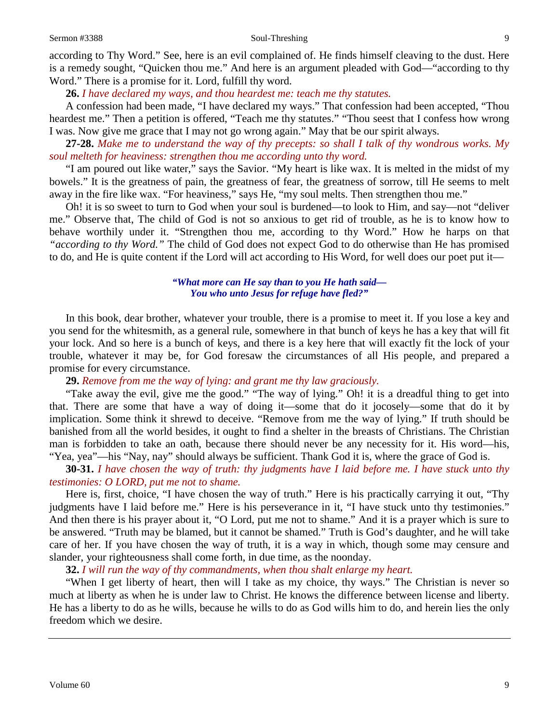#### Sermon #3388 Soul-Threshing 9

according to Thy Word." See, here is an evil complained of. He finds himself cleaving to the dust. Here is a remedy sought, "Quicken thou me." And here is an argument pleaded with God—"according to thy Word." There is a promise for it. Lord, fulfill thy word.

**26.** *I have declared my ways, and thou heardest me: teach me thy statutes.*

A confession had been made, "I have declared my ways." That confession had been accepted, "Thou heardest me." Then a petition is offered, "Teach me thy statutes." "Thou seest that I confess how wrong I was. Now give me grace that I may not go wrong again." May that be our spirit always.

**27-28.** *Make me to understand the way of thy precepts: so shall I talk of thy wondrous works. My soul melteth for heaviness: strengthen thou me according unto thy word.*

"I am poured out like water," says the Savior. "My heart is like wax. It is melted in the midst of my bowels." It is the greatness of pain, the greatness of fear, the greatness of sorrow, till He seems to melt away in the fire like wax. "For heaviness," says He, "my soul melts. Then strengthen thou me."

Oh! it is so sweet to turn to God when your soul is burdened—to look to Him, and say—not "deliver me." Observe that, The child of God is not so anxious to get rid of trouble, as he is to know how to behave worthily under it. "Strengthen thou me, according to thy Word." How he harps on that *"according to thy Word."* The child of God does not expect God to do otherwise than He has promised to do, and He is quite content if the Lord will act according to His Word, for well does our poet put it—

# *"What more can He say than to you He hath said— You who unto Jesus for refuge have fled?"*

In this book, dear brother, whatever your trouble, there is a promise to meet it. If you lose a key and you send for the whitesmith, as a general rule, somewhere in that bunch of keys he has a key that will fit your lock. And so here is a bunch of keys, and there is a key here that will exactly fit the lock of your trouble, whatever it may be, for God foresaw the circumstances of all His people, and prepared a promise for every circumstance.

# **29.** *Remove from me the way of lying: and grant me thy law graciously.*

"Take away the evil, give me the good." "The way of lying." Oh! it is a dreadful thing to get into that. There are some that have a way of doing it—some that do it jocosely—some that do it by implication. Some think it shrewd to deceive. "Remove from me the way of lying." If truth should be banished from all the world besides, it ought to find a shelter in the breasts of Christians. The Christian man is forbidden to take an oath, because there should never be any necessity for it. His word—his, "Yea, yea"—his "Nay, nay" should always be sufficient. Thank God it is, where the grace of God is.

**30-31.** *I have chosen the way of truth: thy judgments have I laid before me. I have stuck unto thy testimonies: O LORD, put me not to shame.*

Here is, first, choice, "I have chosen the way of truth." Here is his practically carrying it out, "Thy judgments have I laid before me." Here is his perseverance in it, "I have stuck unto thy testimonies." And then there is his prayer about it, "O Lord, put me not to shame." And it is a prayer which is sure to be answered. "Truth may be blamed, but it cannot be shamed." Truth is God's daughter, and he will take care of her. If you have chosen the way of truth, it is a way in which, though some may censure and slander, your righteousness shall come forth, in due time, as the noonday.

**32.** *I will run the way of thy commandments, when thou shalt enlarge my heart.*

"When I get liberty of heart, then will I take as my choice, thy ways." The Christian is never so much at liberty as when he is under law to Christ. He knows the difference between license and liberty. He has a liberty to do as he wills, because he wills to do as God wills him to do, and herein lies the only freedom which we desire.